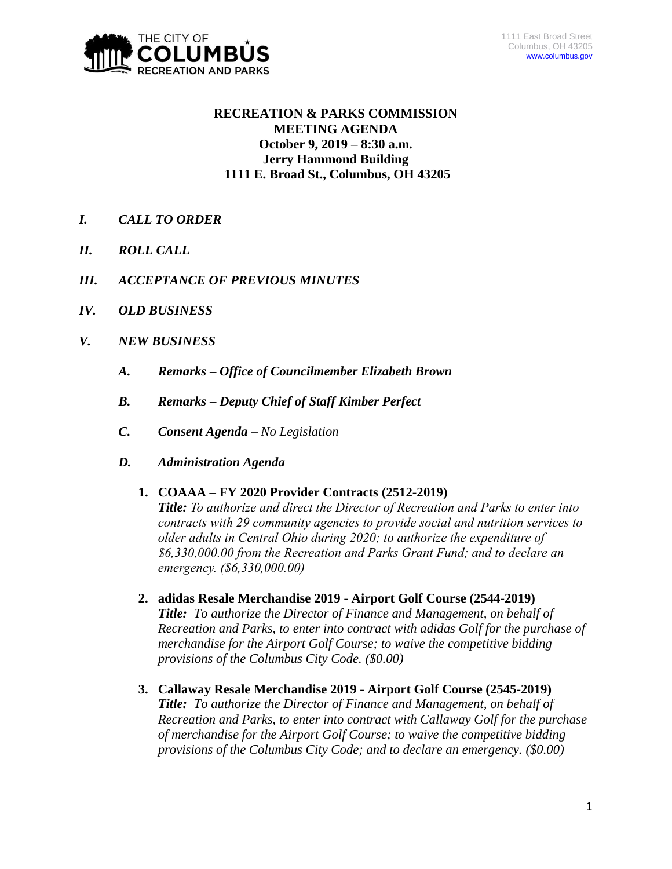

# **RECREATION & PARKS COMMISSION MEETING AGENDA October 9, 2019 – 8:30 a.m. Jerry Hammond Building 1111 E. Broad St., Columbus, OH 43205**

- *I. CALL TO ORDER*
- *II. ROLL CALL*
- *III. ACCEPTANCE OF PREVIOUS MINUTES*
- *IV. OLD BUSINESS*
- *V. NEW BUSINESS*
	- *A. Remarks – Office of Councilmember Elizabeth Brown*
	- *B. Remarks – Deputy Chief of Staff Kimber Perfect*
	- *C. Consent Agenda – No Legislation*
	- *D. Administration Agenda*

## **1. COAAA – FY 2020 Provider Contracts (2512-2019)**

*Title: To authorize and direct the Director of Recreation and Parks to enter into contracts with 29 community agencies to provide social and nutrition services to older adults in Central Ohio during 2020; to authorize the expenditure of \$6,330,000.00 from the Recreation and Parks Grant Fund; and to declare an emergency. (\$6,330,000.00)*

- **2. adidas Resale Merchandise 2019 - Airport Golf Course (2544-2019)** *Title: To authorize the Director of Finance and Management, on behalf of Recreation and Parks, to enter into contract with adidas Golf for the purchase of merchandise for the Airport Golf Course; to waive the competitive bidding provisions of the Columbus City Code. (\$0.00)*
- **3. Callaway Resale Merchandise 2019 - Airport Golf Course (2545-2019)** *Title: To authorize the Director of Finance and Management, on behalf of Recreation and Parks, to enter into contract with Callaway Golf for the purchase of merchandise for the Airport Golf Course; to waive the competitive bidding provisions of the Columbus City Code; and to declare an emergency. (\$0.00)*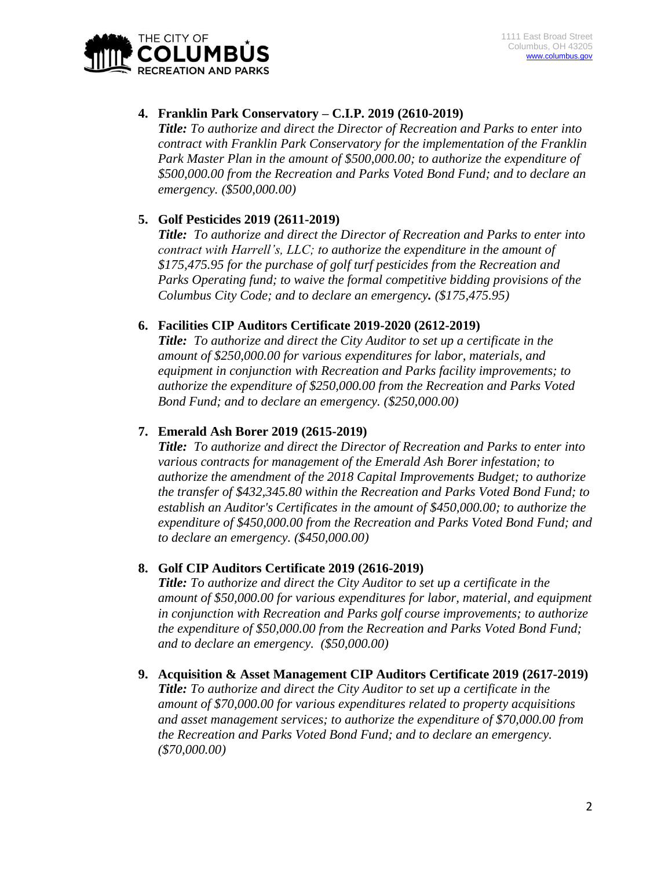

## **4. Franklin Park Conservatory – C.I.P. 2019 (2610-2019)**

*Title: To authorize and direct the Director of Recreation and Parks to enter into contract with Franklin Park Conservatory for the implementation of the Franklin Park Master Plan in the amount of \$500,000.00; to authorize the expenditure of \$500,000.00 from the Recreation and Parks Voted Bond Fund; and to declare an emergency. (\$500,000.00)*

## **5. Golf Pesticides 2019 (2611-2019)**

*Title: To authorize and direct the Director of Recreation and Parks to enter into contract with Harrell's, LLC; to authorize the expenditure in the amount of \$175,475.95 for the purchase of golf turf pesticides from the Recreation and Parks Operating fund; to waive the formal competitive bidding provisions of the Columbus City Code; and to declare an emergency. (\$175,475.95)*

## **6. Facilities CIP Auditors Certificate 2019-2020 (2612-2019)**

*Title: To authorize and direct the City Auditor to set up a certificate in the amount of \$250,000.00 for various expenditures for labor, materials, and equipment in conjunction with Recreation and Parks facility improvements; to authorize the expenditure of \$250,000.00 from the Recreation and Parks Voted Bond Fund; and to declare an emergency. (\$250,000.00)*

## **7. Emerald Ash Borer 2019 (2615-2019)**

*Title: To authorize and direct the Director of Recreation and Parks to enter into various contracts for management of the Emerald Ash Borer infestation; to authorize the amendment of the 2018 Capital Improvements Budget; to authorize the transfer of \$432,345.80 within the Recreation and Parks Voted Bond Fund; to establish an Auditor's Certificates in the amount of \$450,000.00; to authorize the expenditure of \$450,000.00 from the Recreation and Parks Voted Bond Fund; and to declare an emergency. (\$450,000.00)*

## **8. Golf CIP Auditors Certificate 2019 (2616-2019)**

*Title: To authorize and direct the City Auditor to set up a certificate in the amount of \$50,000.00 for various expenditures for labor, material, and equipment in conjunction with Recreation and Parks golf course improvements; to authorize the expenditure of \$50,000.00 from the Recreation and Parks Voted Bond Fund; and to declare an emergency. (\$50,000.00)*

**9. Acquisition & Asset Management CIP Auditors Certificate 2019 (2617-2019)** *Title: To authorize and direct the City Auditor to set up a certificate in the amount of \$70,000.00 for various expenditures related to property acquisitions and asset management services; to authorize the expenditure of \$70,000.00 from the Recreation and Parks Voted Bond Fund; and to declare an emergency. (\$70,000.00)*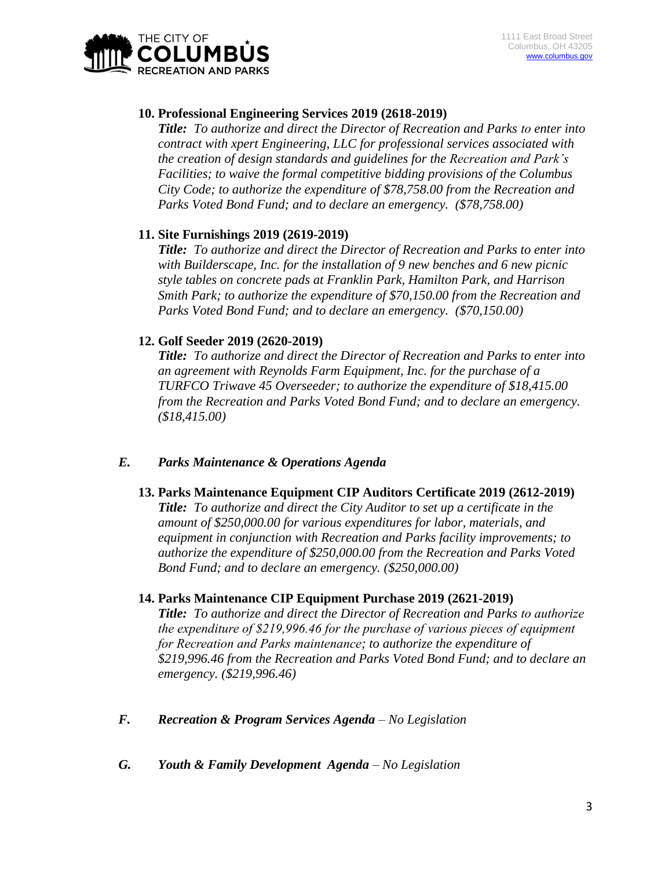

## **10. Professional Engineering Services 2019 (2618-2019)**

*Title: To authorize and direct the Director of Recreation and Parks to enter into contract with xpert Engineering, LLC for professional services associated with the creation of design standards and guidelines for the Recreation and Park's Facilities; to waive the formal competitive bidding provisions of the Columbus City Code; to authorize the expenditure of \$78,758.00 from the Recreation and Parks Voted Bond Fund; and to declare an emergency. (\$78,758.00)*

## **11. Site Furnishings 2019 (2619-2019)**

*Title: To authorize and direct the Director of Recreation and Parks to enter into with Builderscape, Inc. for the installation of 9 new benches and 6 new picnic style tables on concrete pads at Franklin Park, Hamilton Park, and Harrison Smith Park; to authorize the expenditure of \$70,150.00 from the Recreation and Parks Voted Bond Fund; and to declare an emergency. (\$70,150.00)*

#### **12. Golf Seeder 2019 (2620-2019)**

*Title: To authorize and direct the Director of Recreation and Parks to enter into an agreement with Reynolds Farm Equipment, Inc. for the purchase of a TURFCO Triwave 45 Overseeder; to authorize the expenditure of \$18,415.00 from the Recreation and Parks Voted Bond Fund; and to declare an emergency. (\$18,415.00)*

#### *E. Parks Maintenance & Operations Agenda*

#### **13. Parks Maintenance Equipment CIP Auditors Certificate 2019 (2612-2019)**

*Title: To authorize and direct the City Auditor to set up a certificate in the amount of \$250,000.00 for various expenditures for labor, materials, and equipment in conjunction with Recreation and Parks facility improvements; to authorize the expenditure of \$250,000.00 from the Recreation and Parks Voted Bond Fund; and to declare an emergency. (\$250,000.00)*

#### **14. Parks Maintenance CIP Equipment Purchase 2019 (2621-2019)**

*Title: To authorize and direct the Director of Recreation and Parks to authorize the expenditure of \$219,996.46 for the purchase of various pieces of equipment for Recreation and Parks maintenance; to authorize the expenditure of \$219,996.46 from the Recreation and Parks Voted Bond Fund; and to declare an emergency. (\$219,996.46)*

- *F. Recreation & Program Services Agenda – No Legislation*
- *G. Youth & Family Development Agenda – No Legislation*